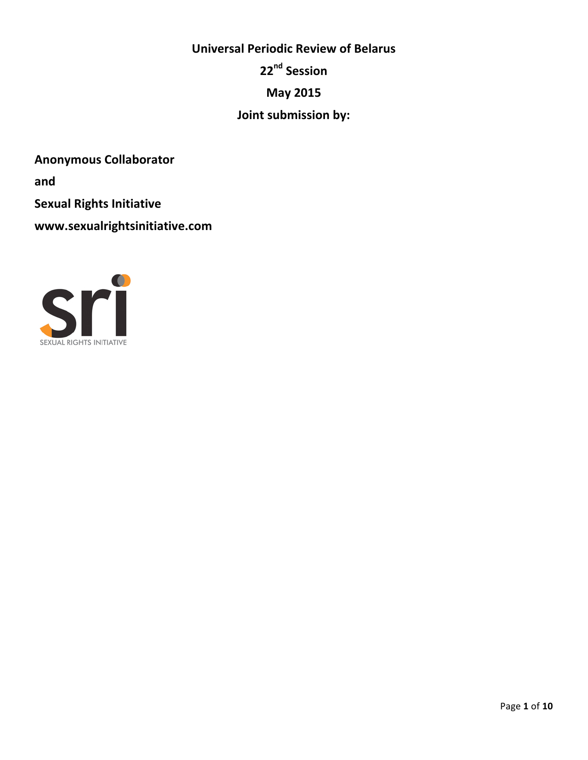# **Universal Periodic Review of Belarus 22nd Session May 2015 Joint submission by:**

**Anonymous Collaborator** 

**and** 

**Sexual Rights Initiative** 

**www.sexualrightsinitiative.com**

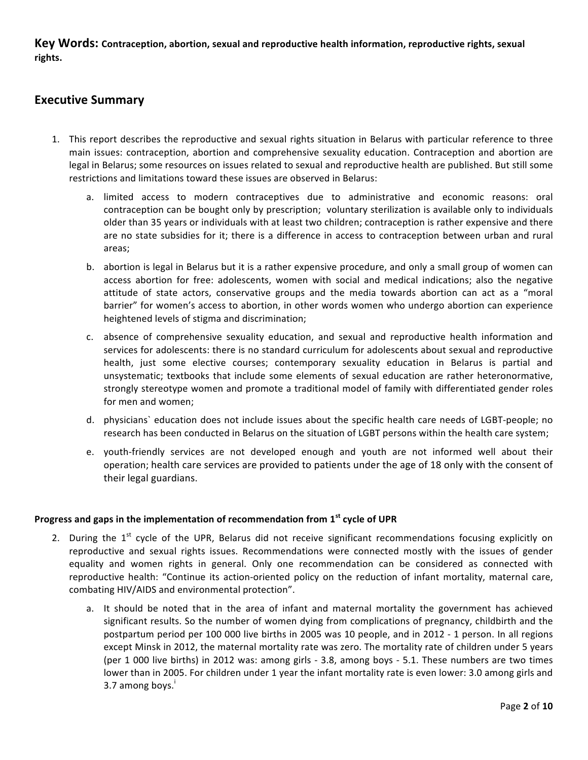Key Words: Contraception, abortion, sexual and reproductive health information, reproductive rights, sexual **rights.**

# **Executive Summary**

- 1. This report describes the reproductive and sexual rights situation in Belarus with particular reference to three main issues: contraception, abortion and comprehensive sexuality education. Contraception and abortion are legal in Belarus; some resources on issues related to sexual and reproductive health are published. But still some restrictions and limitations toward these issues are observed in Belarus:
	- a. limited access to modern contraceptives due to administrative and economic reasons: oral contraception can be bought only by prescription; voluntary sterilization is available only to individuals older than 35 years or individuals with at least two children; contraception is rather expensive and there are no state subsidies for it; there is a difference in access to contraception between urban and rural areas;
	- b. abortion is legal in Belarus but it is a rather expensive procedure, and only a small group of women can access abortion for free: adolescents, women with social and medical indications; also the negative attitude of state actors, conservative groups and the media towards abortion can act as a "moral barrier" for women's access to abortion, in other words women who undergo abortion can experience heightened levels of stigma and discrimination;
	- c. absence of comprehensive sexuality education, and sexual and reproductive health information and services for adolescents: there is no standard curriculum for adolescents about sexual and reproductive health, just some elective courses; contemporary sexuality education in Belarus is partial and unsystematic; textbooks that include some elements of sexual education are rather heteronormative, strongly stereotype women and promote a traditional model of family with differentiated gender roles for men and women;
	- d. physicians` education does not include issues about the specific health care needs of LGBT-people; no research has been conducted in Belarus on the situation of LGBT persons within the health care system;
	- e. youth-friendly services are not developed enough and youth are not informed well about their operation; health care services are provided to patients under the age of 18 only with the consent of their legal guardians.

## **Progress and gaps in the implementation of recommendation from 1<sup>st</sup> cycle of UPR**

- 2. During the  $1^{st}$  cycle of the UPR, Belarus did not receive significant recommendations focusing explicitly on reproductive and sexual rights issues. Recommendations were connected mostly with the issues of gender equality and women rights in general. Only one recommendation can be considered as connected with reproductive health: "Continue its action-oriented policy on the reduction of infant mortality, maternal care, combating HIV/AIDS and environmental protection".
	- a. It should be noted that in the area of infant and maternal mortality the government has achieved significant results. So the number of women dying from complications of pregnancy, childbirth and the postpartum period per 100 000 live births in 2005 was 10 people, and in 2012 - 1 person. In all regions except Minsk in 2012, the maternal mortality rate was zero. The mortality rate of children under 5 years (per 1 000 live births) in 2012 was: among girls - 3.8, among boys - 5.1. These numbers are two times lower than in 2005. For children under 1 year the infant mortality rate is even lower: 3.0 among girls and 3.7 among boys. $^{\mathrm{i}}$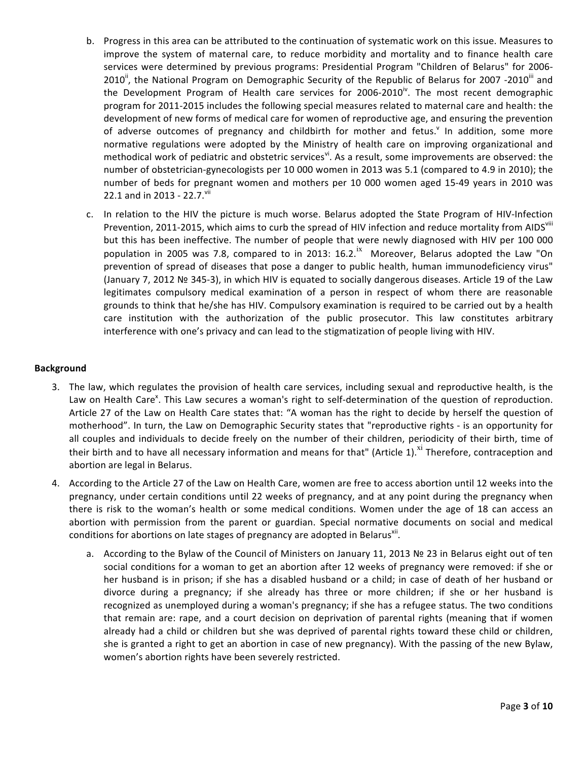- b. Progress in this area can be attributed to the continuation of systematic work on this issue. Measures to improve the system of maternal care, to reduce morbidity and mortality and to finance health care services were determined by previous programs: Presidential Program "Children of Belarus" for 2006-2010<sup>ii</sup>, the National Program on Demographic Security of the Republic of Belarus for 2007 -2010<sup>iii</sup> and the Development Program of Health care services for 2006-2010 $^{\dot{v}}$ . The most recent demographic program for 2011-2015 includes the following special measures related to maternal care and health: the development of new forms of medical care for women of reproductive age, and ensuring the prevention of adverse outcomes of pregnancy and childbirth for mother and fetus.<sup>v</sup> In addition, some more normative regulations were adopted by the Ministry of health care on improving organizational and methodical work of pediatric and obstetric services<sup>vi</sup>. As a result, some improvements are observed: the number of obstetrician-gynecologists per 10 000 women in 2013 was 5.1 (compared to 4.9 in 2010); the number of beds for pregnant women and mothers per 10 000 women aged 15-49 years in 2010 was 22.1 and in 2013 - 22.7. $v$ ii
- c. In relation to the HIV the picture is much worse. Belarus adopted the State Program of HIV-Infection Prevention, 2011-2015, which aims to curb the spread of HIV infection and reduce mortality from AIDS<sup>viii</sup> but this has been ineffective. The number of people that were newly diagnosed with HIV per 100 000 population in 2005 was 7.8, compared to in 2013:  $16.2$ .<sup>ix</sup> Moreover, Belarus adopted the Law "On prevention of spread of diseases that pose a danger to public health, human immunodeficiency virus" (January 7, 2012 № 345-3), in which HIV is equated to socially dangerous diseases. Article 19 of the Law legitimates compulsory medical examination of a person in respect of whom there are reasonable grounds to think that he/she has HIV. Compulsory examination is required to be carried out by a health care institution with the authorization of the public prosecutor. This law constitutes arbitrary interference with one's privacy and can lead to the stigmatization of people living with HIV.

## **Background**

- 3. The law, which regulates the provision of health care services, including sexual and reproductive health, is the Law on Health Care<sup>x</sup>. This Law secures a woman's right to self-determination of the question of reproduction. Article 27 of the Law on Health Care states that: "A woman has the right to decide by herself the question of motherhood". In turn, the Law on Demographic Security states that "reproductive rights - is an opportunity for all couples and individuals to decide freely on the number of their children, periodicity of their birth, time of their birth and to have all necessary information and means for that" (Article 1).<sup>X1</sup> Therefore, contraception and abortion are legal in Belarus.
- 4. According to the Article 27 of the Law on Health Care, women are free to access abortion until 12 weeks into the pregnancy, under certain conditions until 22 weeks of pregnancy, and at any point during the pregnancy when there is risk to the woman's health or some medical conditions. Women under the age of 18 can access an abortion with permission from the parent or guardian. Special normative documents on social and medical conditions for abortions on late stages of pregnancy are adopted in Belarus<sup>xii</sup>.
	- a. According to the Bylaw of the Council of Ministers on January 11, 2013 № 23 in Belarus eight out of ten social conditions for a woman to get an abortion after 12 weeks of pregnancy were removed: if she or her husband is in prison; if she has a disabled husband or a child; in case of death of her husband or divorce during a pregnancy; if she already has three or more children; if she or her husband is recognized as unemployed during a woman's pregnancy; if she has a refugee status. The two conditions that remain are: rape, and a court decision on deprivation of parental rights (meaning that if women already had a child or children but she was deprived of parental rights toward these child or children, she is granted a right to get an abortion in case of new pregnancy). With the passing of the new Bylaw, women's abortion rights have been severely restricted.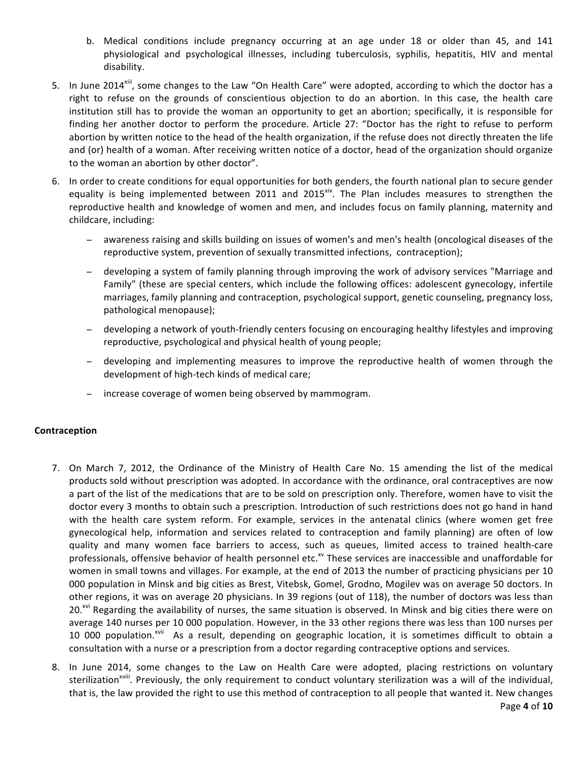- b. Medical conditions include pregnancy occurring at an age under 18 or older than 45, and 141 physiological and psychological illnesses, including tuberculosis, syphilis, hepatitis, HIV and mental disability.
- 5. In June 2014<sup>xiii</sup>, some changes to the Law "On Health Care" were adopted, according to which the doctor has a right to refuse on the grounds of conscientious objection to do an abortion. In this case, the health care institution still has to provide the woman an opportunity to get an abortion; specifically, it is responsible for finding her another doctor to perform the procedure. Article 27: "Doctor has the right to refuse to perform abortion by written notice to the head of the health organization, if the refuse does not directly threaten the life and (or) health of a woman. After receiving written notice of a doctor, head of the organization should organize to the woman an abortion by other doctor".
- 6. In order to create conditions for equal opportunities for both genders, the fourth national plan to secure gender equality is being implemented between 2011 and  $2015<sup>xiv</sup>$ . The Plan includes measures to strengthen the reproductive health and knowledge of women and men, and includes focus on family planning, maternity and childcare, including:
	- − awareness raising and skills building on issues of women's and men's health (oncological diseases of the reproductive system, prevention of sexually transmitted infections, contraception);
	- − developing a system of family planning through improving the work of advisory services "Marriage and Family" (these are special centers, which include the following offices: adolescent gynecology, infertile marriages, family planning and contraception, psychological support, genetic counseling, pregnancy loss, pathological menopause);
	- − developing a network of youth-friendly centers focusing on encouraging healthy lifestyles and improving reproductive, psychological and physical health of young people;
	- − developing and implementing measures to improve the reproductive health of women through the development of high-tech kinds of medical care;
	- − increase coverage of women being observed by mammogram.

## **Contraception**

- 7. On March 7, 2012, the Ordinance of the Ministry of Health Care No. 15 amending the list of the medical products sold without prescription was adopted. In accordance with the ordinance, oral contraceptives are now a part of the list of the medications that are to be sold on prescription only. Therefore, women have to visit the doctor every 3 months to obtain such a prescription. Introduction of such restrictions does not go hand in hand with the health care system reform. For example, services in the antenatal clinics (where women get free gynecological help, information and services related to contraception and family planning) are often of low quality and many women face barriers to access, such as queues, limited access to trained health-care professionals, offensive behavior of health personnel etc.<sup>xv</sup> These services are inaccessible and unaffordable for women in small towns and villages. For example, at the end of 2013 the number of practicing physicians per 10 000 population in Minsk and big cities as Brest, Vitebsk, Gomel, Grodno, Mogilev was on average 50 doctors. In other regions, it was on average 20 physicians. In 39 regions (out of 118), the number of doctors was less than 20.<sup>xvi</sup> Regarding the availability of nurses, the same situation is observed. In Minsk and big cities there were on average 140 nurses per 10 000 population. However, in the 33 other regions there was less than 100 nurses per 10 000 population.<sup>xvii</sup> As a result, depending on geographic location, it is sometimes difficult to obtain a consultation with a nurse or a prescription from a doctor regarding contraceptive options and services.
- 8. In June 2014, some changes to the Law on Health Care were adopted, placing restrictions on voluntary sterilization<sup>xviii</sup>. Previously, the only requirement to conduct voluntary sterilization was a will of the individual, that is, the law provided the right to use this method of contraception to all people that wanted it. New changes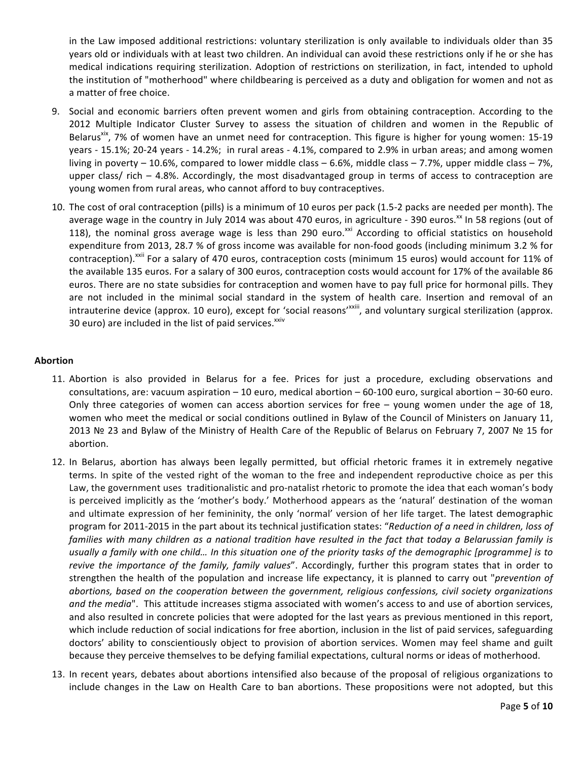in the Law imposed additional restrictions: voluntary sterilization is only available to individuals older than 35 years old or individuals with at least two children. An individual can avoid these restrictions only if he or she has medical indications requiring sterilization. Adoption of restrictions on sterilization, in fact, intended to uphold the institution of "motherhood" where childbearing is perceived as a duty and obligation for women and not as a matter of free choice.

- 9. Social and economic barriers often prevent women and girls from obtaining contraception. According to the 2012 Multiple Indicator Cluster Survey to assess the situation of children and women in the Republic of Belarus<sup>xix</sup>, 7% of women have an unmet need for contraception. This figure is higher for young women: 15-19 years - 15.1%; 20-24 years - 14.2%; in rural areas - 4.1%, compared to 2.9% in urban areas; and among women living in poverty – 10.6%, compared to lower middle class – 6.6%, middle class – 7.7%, upper middle class – 7%, upper class/ rich  $-4.8\%$ . Accordingly, the most disadvantaged group in terms of access to contraception are young women from rural areas, who cannot afford to buy contraceptives.
- 10. The cost of oral contraception (pills) is a minimum of 10 euros per pack (1.5-2 packs are needed per month). The average wage in the country in July 2014 was about 470 euros, in agriculture - 390 euros.<sup>xx</sup> In 58 regions (out of 118), the nominal gross average wage is less than 290 euro.<sup>xxi</sup> According to official statistics on household expenditure from 2013, 28.7 % of gross income was available for non-food goods (including minimum 3.2 % for contraception).<sup>xxii</sup> For a salary of 470 euros, contraception costs (minimum 15 euros) would account for 11% of the available 135 euros. For a salary of 300 euros, contraception costs would account for 17% of the available 86 euros. There are no state subsidies for contraception and women have to pay full price for hormonal pills. They are not included in the minimal social standard in the system of health care. Insertion and removal of an intrauterine device (approx. 10 euro), except for 'social reasons'<sup>xxiii</sup>, and voluntary surgical sterilization (approx. 30 euro) are included in the list of paid services. $x_{xiv}$

#### **Abortion**

- 11. Abortion is also provided in Belarus for a fee. Prices for just a procedure, excluding observations and consultations, are: vacuum aspiration  $-10$  euro, medical abortion  $-60-100$  euro, surgical abortion  $-30-60$  euro. Only three categories of women can access abortion services for free  $-$  young women under the age of 18, women who meet the medical or social conditions outlined in Bylaw of the Council of Ministers on January 11, 2013 № 23 and Bylaw of the Ministry of Health Care of the Republic of Belarus on February 7, 2007 № 15 for abortion.
- 12. In Belarus, abortion has always been legally permitted, but official rhetoric frames it in extremely negative terms. In spite of the vested right of the woman to the free and independent reproductive choice as per this Law, the government uses traditionalistic and pro-natalist rhetoric to promote the idea that each woman's body is perceived implicitly as the 'mother's body.' Motherhood appears as the 'natural' destination of the woman and ultimate expression of her femininity, the only 'normal' version of her life target. The latest demographic program for 2011-2015 in the part about its technical justification states: "Reduction of a need in children, loss of *families* with many children as a national tradition have resulted in the fact that today a Belarussian family is usually a family with one child... In this situation one of the priority tasks of the demographic [programme] is to *revive* the importance of the family, family values". Accordingly, further this program states that in order to strengthen the health of the population and increase life expectancy, it is planned to carry out "*prevention of abortions, based on the cooperation between the government, religious confessions, civil society organizations* and the media". This attitude increases stigma associated with women's access to and use of abortion services, and also resulted in concrete policies that were adopted for the last years as previous mentioned in this report, which include reduction of social indications for free abortion, inclusion in the list of paid services, safeguarding doctors' ability to conscientiously object to provision of abortion services. Women may feel shame and guilt because they perceive themselves to be defying familial expectations, cultural norms or ideas of motherhood.
- 13. In recent years, debates about abortions intensified also because of the proposal of religious organizations to include changes in the Law on Health Care to ban abortions. These propositions were not adopted, but this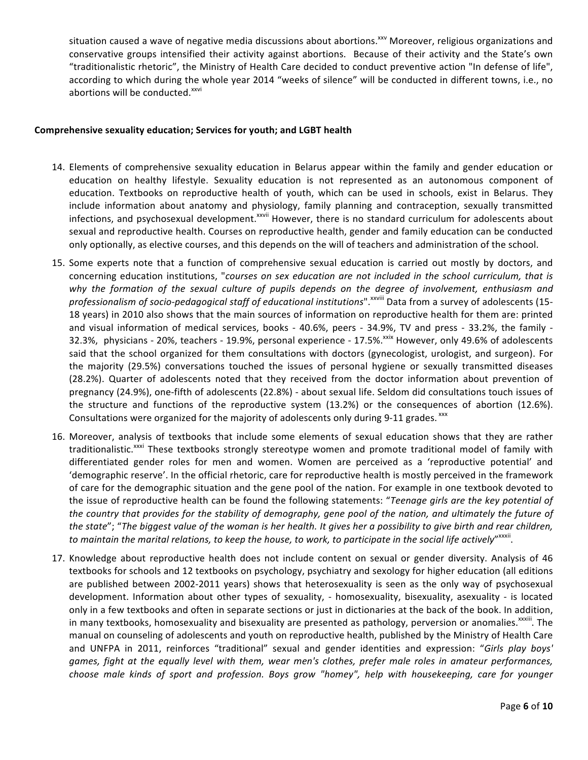situation caused a wave of negative media discussions about abortions.<sup>xxv</sup> Moreover, religious organizations and conservative groups intensified their activity against abortions. Because of their activity and the State's own "traditionalistic rhetoric", the Ministry of Health Care decided to conduct preventive action "In defense of life", according to which during the whole year 2014 "weeks of silence" will be conducted in different towns, i.e., no abortions will be conducted.<sup>xxvi</sup>

#### Comprehensive sexuality education; Services for youth; and LGBT health

- 14. Elements of comprehensive sexuality education in Belarus appear within the family and gender education or education on healthy lifestyle. Sexuality education is not represented as an autonomous component of education. Textbooks on reproductive health of youth, which can be used in schools, exist in Belarus. They include information about anatomy and physiology, family planning and contraception, sexually transmitted infections, and psychosexual development.<sup>xxvii</sup> However, there is no standard curriculum for adolescents about sexual and reproductive health. Courses on reproductive health, gender and family education can be conducted only optionally, as elective courses, and this depends on the will of teachers and administration of the school.
- 15. Some experts note that a function of comprehensive sexual education is carried out mostly by doctors, and concerning education institutions, "*courses on sex education are not included in the school curriculum, that is* why the formation of the sexual culture of pupils depends on the degree of involvement, enthusiasm and professionalism of socio-pedagogical staff of educational institutions".<sup>xxviii</sup> Data from a survey of adolescents (15-18 years) in 2010 also shows that the main sources of information on reproductive health for them are: printed and visual information of medical services, books - 40.6%, peers - 34.9%, TV and press - 33.2%, the family -32.3%, physicians - 20%, teachers - 19.9%, personal experience - 17.5%.<sup>xxix</sup> However, only 49.6% of adolescents said that the school organized for them consultations with doctors (gynecologist, urologist, and surgeon). For the majority (29.5%) conversations touched the issues of personal hygiene or sexually transmitted diseases (28.2%). Quarter of adolescents noted that they received from the doctor information about prevention of pregnancy (24.9%), one-fifth of adolescents (22.8%) - about sexual life. Seldom did consultations touch issues of the structure and functions of the reproductive system  $(13.2%)$  or the consequences of abortion  $(12.6%)$ . Consultations were organized for the majority of adolescents only during 9-11 grades. xxx
- 16. Moreover, analysis of textbooks that include some elements of sexual education shows that they are rather traditionalistic.<sup>xxxi</sup> These textbooks strongly stereotype women and promote traditional model of family with differentiated gender roles for men and women. Women are perceived as a 'reproductive potential' and 'demographic reserve'. In the official rhetoric, care for reproductive health is mostly perceived in the framework of care for the demographic situation and the gene pool of the nation. For example in one textbook devoted to the issue of reproductive health can be found the following statements: "Teenage girls are the key potential of *the country that provides for the stability of demography, gene pool of the nation, and ultimately the future of the state"*; "The biggest value of the woman is her health. It gives her a possibility to give birth and rear children, to maintain the marital relations, to keep the house, to work, to participate in the social life actively"<sup>xxxii</sup>.
- 17. Knowledge about reproductive health does not include content on sexual or gender diversity. Analysis of 46 textbooks for schools and 12 textbooks on psychology, psychiatry and sexology for higher education (all editions are published between 2002-2011 years) shows that heterosexuality is seen as the only way of psychosexual development. Information about other types of sexuality, - homosexuality, bisexuality, asexuality - is located only in a few textbooks and often in separate sections or just in dictionaries at the back of the book. In addition, in many textbooks, homosexuality and bisexuality are presented as pathology, perversion or anomalies.<sup>xxxiii</sup>. The manual on counseling of adolescents and youth on reproductive health, published by the Ministry of Health Care and UNFPA in 2011, reinforces "traditional" sexual and gender identities and expression: "Girls play boys' games, fight at the equally level with them, wear men's clothes, prefer male roles in amateur performances, choose male kinds of sport and profession. Boys grow "homey", help with housekeeping, care for younger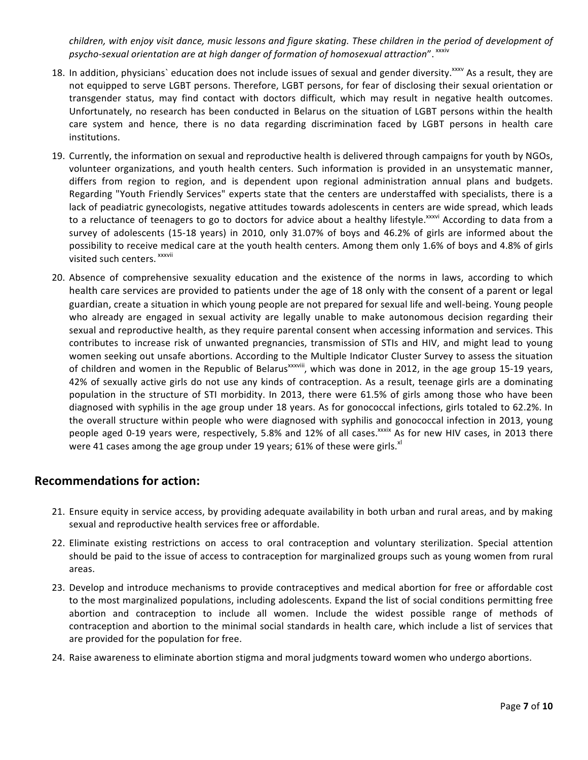*children, with enjoy visit dance, music lessons and figure skating. These children in the period of development of* psycho-sexual orientation are at high danger of formation of homosexual attraction". <sup>xxxiv</sup>

- 18. In addition, physicians` education does not include issues of sexual and gender diversity.<sup>xxxv</sup> As a result, they are not equipped to serve LGBT persons. Therefore, LGBT persons, for fear of disclosing their sexual orientation or transgender status, may find contact with doctors difficult, which may result in negative health outcomes. Unfortunately, no research has been conducted in Belarus on the situation of LGBT persons within the health care system and hence, there is no data regarding discrimination faced by LGBT persons in health care institutions.
- 19. Currently, the information on sexual and reproductive health is delivered through campaigns for youth by NGOs, volunteer organizations, and youth health centers. Such information is provided in an unsystematic manner, differs from region to region, and is dependent upon regional administration annual plans and budgets. Regarding "Youth Friendly Services" experts state that the centers are understaffed with specialists, there is a lack of peadiatric gynecologists, negative attitudes towards adolescents in centers are wide spread, which leads to a reluctance of teenagers to go to doctors for advice about a healthy lifestyle.<sup>xxxvi</sup> According to data from a survey of adolescents (15-18 years) in 2010, only 31.07% of boys and 46.2% of girls are informed about the possibility to receive medical care at the youth health centers. Among them only 1.6% of boys and 4.8% of girls visited such centers. xxxvii
- 20. Absence of comprehensive sexuality education and the existence of the norms in laws, according to which health care services are provided to patients under the age of 18 only with the consent of a parent or legal guardian, create a situation in which young people are not prepared for sexual life and well-being. Young people who already are engaged in sexual activity are legally unable to make autonomous decision regarding their sexual and reproductive health, as they require parental consent when accessing information and services. This contributes to increase risk of unwanted pregnancies, transmission of STIs and HIV, and might lead to young women seeking out unsafe abortions. According to the Multiple Indicator Cluster Survey to assess the situation of children and women in the Republic of Belarus<sup>xxxviii</sup>, which was done in 2012, in the age group 15-19 years, 42% of sexually active girls do not use any kinds of contraception. As a result, teenage girls are a dominating population in the structure of STI morbidity. In 2013, there were 61.5% of girls among those who have been diagnosed with syphilis in the age group under 18 years. As for gonococcal infections, girls totaled to 62.2%. In the overall structure within people who were diagnosed with syphilis and gonococcal infection in 2013, young people aged 0-19 years were, respectively, 5.8% and 12% of all cases.<sup>xxxix</sup> As for new HIV cases, in 2013 there were 41 cases among the age group under 19 years; 61% of these were girls. $x<sup>u</sup>$

# **Recommendations for action:**

- 21. Ensure equity in service access, by providing adequate availability in both urban and rural areas, and by making sexual and reproductive health services free or affordable.
- 22. Eliminate existing restrictions on access to oral contraception and voluntary sterilization. Special attention should be paid to the issue of access to contraception for marginalized groups such as young women from rural areas.
- 23. Develop and introduce mechanisms to provide contraceptives and medical abortion for free or affordable cost to the most marginalized populations, including adolescents. Expand the list of social conditions permitting free abortion and contraception to include all women. Include the widest possible range of methods of contraception and abortion to the minimal social standards in health care, which include a list of services that are provided for the population for free.
- 24. Raise awareness to eliminate abortion stigma and moral judgments toward women who undergo abortions.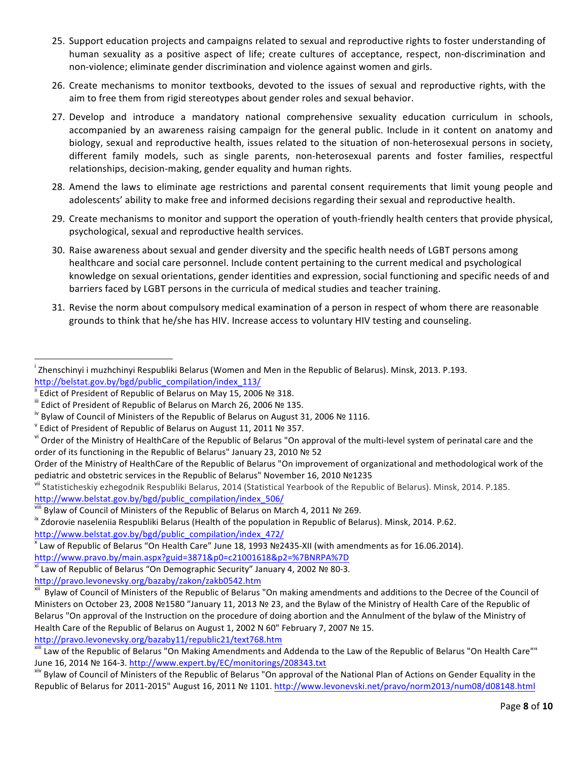- 25. Support education projects and campaigns related to sexual and reproductive rights to foster understanding of human sexuality as a positive aspect of life; create cultures of acceptance, respect, non-discrimination and non-violence; eliminate gender discrimination and violence against women and girls.
- 26. Create mechanisms to monitor textbooks, devoted to the issues of sexual and reproductive rights, with the aim to free them from rigid stereotypes about gender roles and sexual behavior.
- 27. Develop and introduce a mandatory national comprehensive sexuality education curriculum in schools, accompanied by an awareness raising campaign for the general public. Include in it content on anatomy and biology, sexual and reproductive health, issues related to the situation of non-heterosexual persons in society, different family models, such as single parents, non-heterosexual parents and foster families, respectful relationships, decision-making, gender equality and human rights.
- 28. Amend the laws to eliminate age restrictions and parental consent requirements that limit young people and adolescents' ability to make free and informed decisions regarding their sexual and reproductive health.
- 29. Create mechanisms to monitor and support the operation of youth-friendly health centers that provide physical, psychological, sexual and reproductive health services.
- 30. Raise awareness about sexual and gender diversity and the specific health needs of LGBT persons among healthcare and social care personnel. Include content pertaining to the current medical and psychological knowledge on sexual orientations, gender identities and expression, social functioning and specific needs of and barriers faced by LGBT persons in the curricula of medical studies and teacher training.
- 31. Revise the norm about compulsory medical examination of a person in respect of whom there are reasonable grounds to think that he/she has HIV. Increase access to voluntary HIV testing and counseling.

 

 $^{\text{x}}$  Law of Republic of Belarus "On Health Care" June 18, 1993 №2435-XII (with amendments as for 16.06.2014).

http://www.pravo.by/main.aspx?guid=3871&p0=c21001618&p2=%7BNRPA%7D

<sup>xi</sup> Law of Republic of Belarus "On Demographic Security" January 4, 2002 № 80-3.

http://pravo.levonevsky.org/bazaby/zakon/zakb0542.htm

**Zhenschinyi i muzhchinyi Respubliki Belarus (Women and Men in the Republic of Belarus). Minsk, 2013. P.193.** 

http://belstat.gov.by/bgd/public\_compilation/index\_113/<br>
<br>
"Edict of President of Republic of Belarus on May 15, 2006 № 318.<br>
"Edict of President of Republic of Belarus on March 26, 2006 № 135.<br>
"Bylaw of Council of Mini

vi Order of the Ministry of HealthCare of the Republic of Belarus "On approval of the multi-level system of perinatal care and the order of its functioning in the Republic of Belarus" January 23, 2010 № 52

Order of the Ministry of HealthCare of the Republic of Belarus "On improvement of organizational and methodological work of the pediatric and obstetric services in the Republic of Belarus" November 16, 2010 №1235

vii Statisticheskiy ezhegodnik Respubliki Belarus, 2014 (Statistical Yearbook of the Republic of Belarus). Minsk, 2014. P.185. http://www.belstat.gov.by/bgd/public\_compilation/index\_506/

<sup>&</sup>lt;sup>viii</sup> Bylaw of Council of Ministers of the Republic of Belarus on March 4, 2011 № 269.<br><sup>ix</sup> Zdorovie naseleniia Respubliki Belarus (Health of the population in Republic of Belarus). Minsk, 2014. P.62. http://www.belstat.gov.by/bgd/public\_compilation/index\_472/

Bylaw of Council of Ministers of the Republic of Belarus "On making amendments and additions to the Decree of the Council of Ministers on October 23, 2008 №1580 "January 11, 2013 № 23, and the Bylaw of the Ministry of Health Care of the Republic of Belarus "On approval of the Instruction on the procedure of doing abortion and the Annulment of the bylaw of the Ministry of Health Care of the Republic of Belarus on August 1, 2002 N 60" February 7, 2007 № 15.

http://pravo.levonevsky.org/bazaby11/republic21/text768.htm<br><sup>xiii</sup> Law of the Republic of Belarus "On Making Amendments and Addenda to the Law of the Republic of Belarus "On Health Care""

June 16, 2014 № 164-3. http://www.expert.by/EC/monitorings/208343.txt<br><sup>xiv</sup> Bylaw of Council of Ministers of the Republic of Belarus "On approval of the National Plan of Actions on Gender Equality in the Republic of Belarus for 2011-2015" August 16, 2011 № 1101. http://www.levonevski.net/pravo/norm2013/num08/d08148.html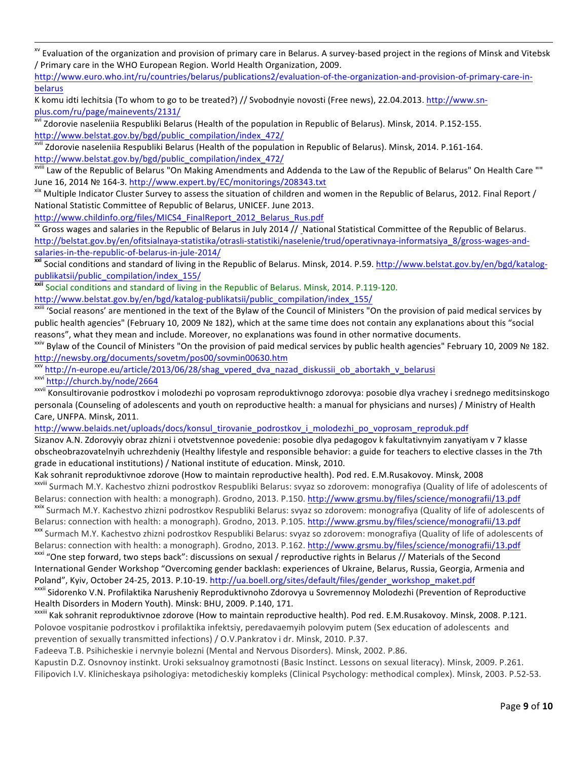<u> 1988 - Andrea Andrew Maria a Carlo Maria a Carlo Maria a Carlo Maria a Carlo Maria a Carlo Maria a Carlo Mar</u> <sup>xv</sup> Evaluation of the organization and provision of primary care in Belarus. A survey-based project in the regions of Minsk and Vitebsk / Primary care in the WHO European Region. World Health Organization, 2009.

http://www.euro.who.int/ru/countries/belarus/publications2/evaluation-of-the-organization-and-provision-of-primary-care-inbelarus 

K komu idti lechitsia (To whom to go to be treated?) // Svobodnyie novosti (Free news), 22.04.2013. http://www.snplus.com/ru/page/mainevents/2131/<br>
<sup>xvi</sup> Zdorovie naseleniia Respubliki Belarus (Health of the population in Republic of Belarus). Minsk, 2014. P.152-155.

http://www.belstat.gov.by/bgd/public\_compilation/index\_472/<br><sup>xvii</sup> Zdorovie naseleniia Respubliki Belarus (Health of the population in Republic of Belarus). Minsk, 2014. P.161-164.

http://www.belstat.gov.by/bgd/public\_compilation/index\_472/<br><sup>xviii</sup> Law of the Republic of Belarus "On Making Amendments and Addenda to the Law of the Republic of Belarus" On Health Care ""

June 16, 2014 № 164-3. http://www.expert.by/EC/monitorings/208343.txt 3. amplication of Belarus, 2012. Final Report<br>Xix Multiple Indicator Cluster Survey to assess the situation of children and women in the Republic of Be

National Statistic Committee of Republic of Belarus, UNICEF. June 2013.

http://www.childinfo.org/files/MICS4\_FinalReport\_2012\_Belarus\_Rus.pdf

<sup>xx</sup> Gross wages and salaries in the Republic of Belarus in July 2014 // National Statistical Committee of the Republic of Belarus. http://belstat.gov.by/en/ofitsialnaya-statistika/otrasli-statistiki/naselenie/trud/operativnaya-informatsiya\_8/gross-wages-andsalaries-in-the-republic-of-belarus-in-jule-2014/<br><sup>xxi</sup> Social conditions and standard of living in the Republic of Belarus. Minsk, 2014. P.59. http://www.belstat.gov.by/en/bgd/katalog-

publikatsii/public\_compilation/index\_155/

**xxii** Social conditions and standard of living in the Republic of Belarus. Minsk, 2014. P.119-120.

http://www.belstat.gov.by/en/bgd/katalog-publikatsii/public\_compilation/index\_155/<br><sup>xxiii</sup> 'Social reasons' are mentioned in the text of the Bylaw of the Council of Ministers "On the provision of paid medical services by public health agencies" (February 10, 2009 № 182), which at the same time does not contain any explanations about this "social reasons", what they mean and include. Moreover, no explanations was found in other normative documents.

 $\frac{xxiv}{x}$  Bylaw of the Council of Ministers "On the provision of paid medical services by public health agencies" February 10, 2009 № 182. http://newsby.org/documents/sovetm/pos00/sovmin00630.htm<br>
\*\*\* http://n-europe.eu/article/2013/06/28/shag\_vpered\_dva\_nazad\_diskussii\_ob\_abortakh\_v\_belarusi<br>
\*\*\*" http://church.by/node/2664<br>
\*\*\*" Konsultirovanie podrostkov i

personala (Counseling of adolescents and youth on reproductive health: a manual for physicians and nurses) / Ministry of Health Care, UNFPA. Minsk, 2011.

http://www.belaids.net/uploads/docs/konsul\_tirovanie\_podrostkov\_i\_molodezhi\_po\_voprosam\_reproduk.pdf

Sizanov A.N. Zdorovyiy obraz zhizni i otvetstvennoe povedenie: posobie dlya pedagogov k fakultativnyim zanyatiyam v 7 klasse obscheobrazovatelnyih uchrezhdeniy (Healthy lifestyle and responsible behavior: a guide for teachers to elective classes in the 7th grade in educational institutions) / National institute of education. Minsk, 2010.

Kak sohranit reproduktivnoe zdorove (How to maintain reproductive health). Pod red. E.M.Rusakovoy. Minsk, 2008 xxviii Surmach M.Y. Kachestvo zhizni podrostkov Respubliki Belarus: svyaz so zdorovem: monografiya (Quality of life of adolescents of Belarus: connection with health: a monograph). Grodno, 2013. P.150. http://www.grsmu.by/files/science/monografii/13.pdf<br>xxix Surmach M.Y. Kachestvo zhizni podrostkov Respubliki Belarus: svyaz so zdorovem: monografiya (Qual

Belarus: connection with health: a monograph). Grodno, 2013. P.105. http://www.grsmu.by/files/science/monografii/13.pdf<br>xxx Surmach M.Y. Kachestvo zhizni podrostkov Respubliki Belarus: svyaz so zdorovem: monografiya (Quali

Belarus: connection with health: a monograph). Grodno, 2013. P.162. http://www.grsmu.by/files/science/monografii/13.pdf<br><sup>xxxi</sup> "One step forward, two steps back": discussions on sexual / reproductive rights in Belarus // M

International Gender Workshop "Overcoming gender backlash: experiences of Ukraine, Belarus, Russia, Georgia, Armenia and Poland", Kyiv, October 24-25, 2013. P.10-19. http://ua.boell.org/sites/default/files/gender\_workshop\_maket.pdf<br>xxxii Sidorenko V.N. Profilaktika Narusheniy Reproduktivnoho Zdorovya u Sovremennoy Molodezhi (Prevention of Re

Health Disorders in Modern Youth). Minsk: BHU, 2009. P.140, 171.<br><sup>xxxiii</sup> Kak sohranit reproduktivnoe zdorove (How to maintain reproductive health). Pod red. E.M.Rusakovoy. Minsk, 2008. P.121.

Polovoe vospitanie podrostkov i profilaktika infektsiy, peredavaemyih polovyim putem (Sex education of adolescents and prevention of sexually transmitted infections) / O.V.Pankratov i dr. Minsk, 2010. P.37.

Fadeeva T.B. Psihicheskie i nervnyie bolezni (Mental and Nervous Disorders). Minsk, 2002. P.86.

Kapustin D.Z. Osnovnoy instinkt. Uroki seksualnoy gramotnosti (Basic Instinct. Lessons on sexual literacy). Minsk, 2009. P.261. Filipovich I.V. Klinicheskaya psihologiya: metodicheskiy kompleks (Clinical Psychology: methodical complex). Minsk, 2003. P.52-53.